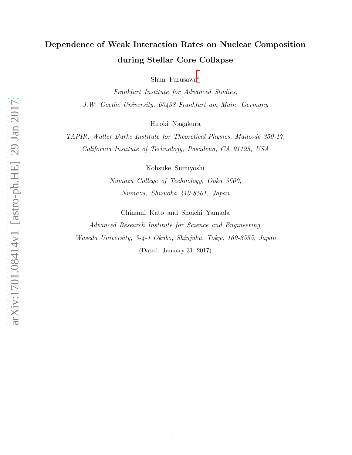# Dependence of Weak Interaction Rates on Nuclear Composition during Stellar Core Collapse

Shun Furusawa[∗](#page-1-0)

Frankfurt Institute for Advanced Studies, J.W. Goethe University, 60438 Frankfurt am Main, Germany

Hiroki Nagakura

TAPIR, Walter Burke Institute for Theoretical Physics, Mailcode 350-17, California Institute of Technology, Pasadena, CA 91125, USA

Kohsuke Sumiyoshi

Numazu College of Technology, Ooka 3600, Numazu, Shizuoka 410-8501, Japan

Chinami Kato and Shoichi Yamada

Advanced Research Institute for Science and Engineering, Waseda University, 3-4-1 Okubo, Shinjuku, Tokyo 169-8555, Japan (Dated: January 31, 2017)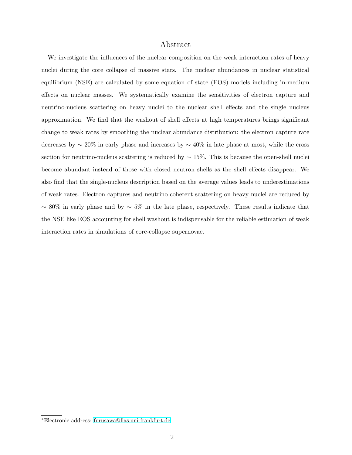# Abstract

We investigate the influences of the nuclear composition on the weak interaction rates of heavy nuclei during the core collapse of massive stars. The nuclear abundances in nuclear statistical equilibrium (NSE) are calculated by some equation of state (EOS) models including in-medium effects on nuclear masses. We systematically examine the sensitivities of electron capture and neutrino-nucleus scattering on heavy nuclei to the nuclear shell effects and the single nucleus approximation. We find that the washout of shell effects at high temperatures brings significant change to weak rates by smoothing the nuclear abundance distribution: the electron capture rate decreases by ∼ 20% in early phase and increases by ∼ 40% in late phase at most, while the cross section for neutrino-nucleus scattering is reduced by  $\sim 15\%$ . This is because the open-shell nuclei become abundant instead of those with closed neutron shells as the shell effects disappear. We also find that the single-nucleus description based on the average values leads to underestimations of weak rates. Electron captures and neutrino coherent scattering on heavy nuclei are reduced by  $~\sim$  80% in early phase and by  $~\sim$  5% in the late phase, respectively. These results indicate that the NSE like EOS accounting for shell washout is indispensable for the reliable estimation of weak interaction rates in simulations of core-collapse supernovae.

<span id="page-1-0"></span><sup>∗</sup>Electronic address: [furusawa@fias.uni-frankfurt.de](mailto:furusawa@fias.uni-frankfurt.de)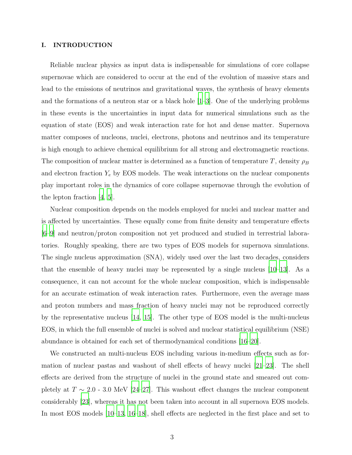## I. INTRODUCTION

Reliable nuclear physics as input data is indispensable for simulations of core collapse supernovae which are considered to occur at the end of the evolution of massive stars and lead to the emissions of neutrinos and gravitational waves, the synthesis of heavy elements and the formations of a neutron star or a black hole [\[1](#page-14-0)[–3\]](#page-14-1). One of the underlying problems in these events is the uncertainties in input data for numerical simulations such as the equation of state (EOS) and weak interaction rate for hot and dense matter. Supernova matter composes of nucleons, nuclei, electrons, photons and neutrinos and its temperature is high enough to achieve chemical equilibrium for all strong and electromagnetic reactions. The composition of nuclear matter is determined as a function of temperature T, density  $\rho_B$ and electron fraction  $Y_e$  by EOS models. The weak interactions on the nuclear components play important roles in the dynamics of core collapse supernovae through the evolution of the lepton fraction [\[4](#page-14-2), [5](#page-14-3)].

Nuclear composition depends on the models employed for nuclei and nuclear matter and is affected by uncertainties. These equally come from finite density and temperature effects [\[6](#page-14-4)[–9\]](#page-14-5) and neutron/proton composition not yet produced and studied in terrestrial laboratories. Roughly speaking, there are two types of EOS models for supernova simulations. The single nucleus approximation (SNA), widely used over the last two decades, considers that the ensemble of heavy nuclei may be represented by a single nucleus [\[10](#page-14-6)[–13\]](#page-14-7). As a consequence, it can not account for the whole nuclear composition, which is indispensable for an accurate estimation of weak interaction rates. Furthermore, even the average mass and proton numbers and mass fraction of heavy nuclei may not be reproduced correctly by the representative nucleus [\[14,](#page-14-8) [15](#page-14-9)]. The other type of EOS model is the multi-nucleus EOS, in which the full ensemble of nuclei is solved and nuclear statistical equilibrium (NSE) abundance is obtained for each set of thermodynamical conditions [\[16](#page-14-10)[–20\]](#page-14-11).

We constructed an multi-nucleus EOS including various in-medium effects such as formation of nuclear pastas and washout of shell effects of heavy nuclei [\[21](#page-14-12)[–23](#page-15-0)]. The shell effects are derived from the structure of nuclei in the ground state and smeared out completely at  $T \sim 2.0$  - 3.0 MeV [\[24](#page-15-1)[–27\]](#page-15-2). This washout effect changes the nuclear component considerably [\[23](#page-15-0)], whereas it has not been taken into account in all supernova EOS models. In most EOS models [\[10](#page-14-6)[–13,](#page-14-7) [16](#page-14-10)[–18](#page-14-13)], shell effects are neglected in the first place and set to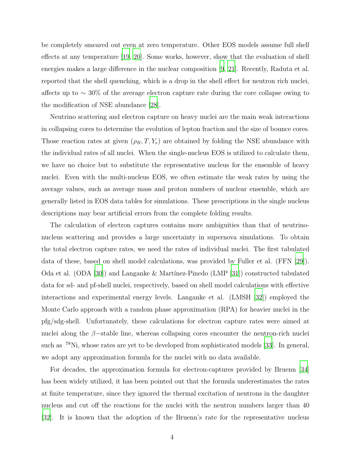be completely smeared out even at zero temperature. Other EOS models assume full shell effects at any temperature [\[19](#page-14-14), [20](#page-14-11)]. Some works, however, show that the evaluation of shell energies makes a large difference in the nuclear composition [\[9,](#page-14-5) [21\]](#page-14-12). Recently, Raduta et al. reported that the shell quenching, which is a drop in the shell effect for neutron rich nuclei, affects up to ∼ 30% of the average electron capture rate during the core collapse owing to the modification of NSE abundance [\[28](#page-15-3)].

Neutrino scattering and electron capture on heavy nuclei are the main weak interactions in collapsing cores to determine the evolution of lepton fraction and the size of bounce cores. Those reaction rates at given  $(\rho_B, T, Y_e)$  are obtained by folding the NSE abundance with the individual rates of all nuclei. When the single-nucleus EOS is utilized to calculate them, we have no choice but to substitute the representative nucleus for the ensemble of heavy nuclei. Even with the multi-nucleus EOS, we often estimate the weak rates by using the average values, such as average mass and proton numbers of nuclear ensemble, which are generally listed in EOS data tables for simulations. These prescriptions in the single nucleus descriptions may bear artificial errors from the complete folding results.

The calculation of electron captures contains more ambiguities than that of neutrinonucleus scattering and provides a large uncertainty in supernova simulations. To obtain the total electron capture rates, we need the rates of individual nuclei. The first tabulated data of these, based on shell model calculations, was provided by Fuller et al. (FFN [\[29](#page-15-4)]). Oda et al.  $(ODA \, |30|)$  and Langanke & Martinez-Pinedo  $(LMP \, |31|)$  constructed tabulated data for sd- and pf-shell nuclei, respectively, based on shell model calculations with effective interactions and experimental energy levels. Langanke et al. (LMSH [\[32](#page-15-7)]) employed the Monte Carlo approach with a random phase approximation (RPA) for heavier nuclei in the pfg/sdg-shell. Unfortunately, these calculations for electron capture rates were aimed at nuclei along the  $\beta$ -stable line, whereas collapsing cores encounter the neutron-rich nuclei such as <sup>78</sup>Ni, whose rates are yet to be developed from sophisticated models [\[33](#page-15-8)]. In general, we adopt any approximation formula for the nuclei with no data available.

For decades, the approximation formula for electron-captures provided by Bruenn [\[34\]](#page-15-9) has been widely utilized, it has been pointed out that the formula underestimates the rates at finite temperature, since they ignored the thermal excitation of neutrons in the daughter nucleus and cut off the reactions for the nuclei with the neutron numbers larger than 40 [\[32](#page-15-7)]. It is known that the adoption of the Bruenn's rate for the representative nucleus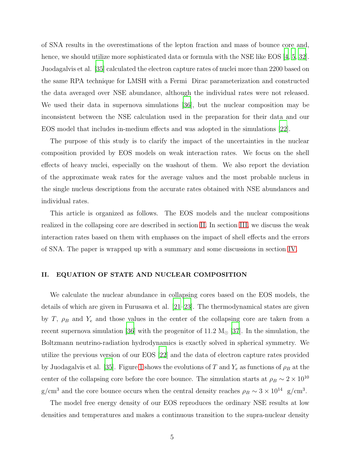of SNA results in the overestimations of the lepton fraction and mass of bounce core and, hence, we should utilize more sophisticated data or formula with the NSE like EOS [\[4](#page-14-2), [5,](#page-14-3) [32\]](#page-15-7). Juodagalvis et al. [\[35](#page-15-10)] calculated the electron capture rates of nuclei more than 2200 based on the same RPA technique for LMSH with a Fermi Dirac parameterization and constructed the data averaged over NSE abundance, although the individual rates were not released. We used their data in supernova simulations [\[36](#page-15-11)], but the nuclear composition may be inconsistent between the NSE calculation used in the preparation for their data and our EOS model that includes in-medium effects and was adopted in the simulations [\[22](#page-14-15)].

The purpose of this study is to clarify the impact of the uncertainties in the nuclear composition provided by EOS models on weak interaction rates. We focus on the shell effects of heavy nuclei, especially on the washout of them. We also report the deviation of the approximate weak rates for the average values and the most probable nucleus in the single nucleus descriptions from the accurate rates obtained with NSE abundances and individual rates.

This article is organized as follows. The EOS models and the nuclear compositions realized in the collapsing core are described in section [II.](#page-4-0) In section [III,](#page-7-0) we discuss the weak interaction rates based on them with emphases on the impact of shell effects and the errors of SNA. The paper is wrapped up with a summary and some discussions in section [IV.](#page-11-0)

# <span id="page-4-0"></span>II. EQUATION OF STATE AND NUCLEAR COMPOSITION

We calculate the nuclear abundance in collapsing cores based on the EOS models, the details of which are given in Furusawa et al. [\[21](#page-14-12)[–23\]](#page-15-0). The thermodynamical states are given by T,  $\rho_B$  and Y<sub>e</sub> and those values in the center of the collapsing core are taken from a recent supernova simulation [\[36\]](#page-15-11) with the progenitor of 11.2  $M_{\odot}$  [\[37](#page-15-12)]. In the simulation, the Boltzmann neutrino-radiation hydrodynamics is exactly solved in spherical symmetry. We utilize the previous version of our EOS [\[22\]](#page-14-15) and the data of electron capture rates provided by Juodagalvis et al. [\[35](#page-15-10)]. Figure [1](#page-17-0) shows the evolutions of T and  $Y_e$  as functions of  $\rho_B$  at the center of the collapsing core before the core bounce. The simulation starts at  $\rho_B \sim 2 \times 10^{10}$ g/cm<sup>3</sup> and the core bounce occurs when the central density reaches  $\rho_B \sim 3 \times 10^{14}$  g/cm<sup>3</sup>.

The model free energy density of our EOS reproduces the ordinary NSE results at low densities and temperatures and makes a continuous transition to the supra-nuclear density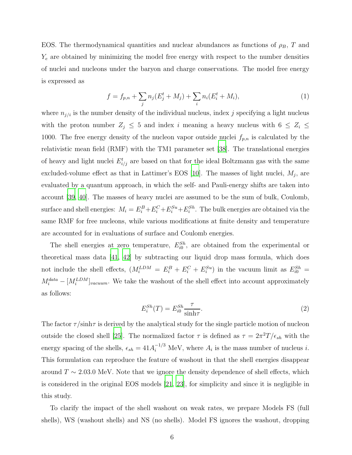EOS. The thermodynamical quantities and nuclear abundances as functions of  $\rho_B$ , T and  $Y_e$  are obtained by minimizing the model free energy with respect to the number densities of nuclei and nucleons under the baryon and charge conservations. The model free energy is expressed as

$$
f = f_{p,n} + \sum_{j} n_j (E_j^t + M_j) + \sum_{i} n_i (E_i^t + M_i), \tag{1}
$$

where  $n_{j/i}$  is the number density of the individual nucleus, index j specifying a light nucleus with the proton number  $Z_j \leq 5$  and index i meaning a heavy nucleus with  $6 \leq Z_i \leq$ 1000. The free energy density of the nucleon vapor outside nuclei  $f_{p,n}$  is calculated by the relativistic mean field (RMF) with the TM1 parameter set [\[38\]](#page-15-13). The translational energies of heavy and light nuclei  $E_{i/j}^t$  are based on that for the ideal Boltzmann gas with the same excluded-volume effect as that in Lattimer's EOS [\[10](#page-14-6)]. The masses of light nuclei,  $M_j$ , are evaluated by a quantum approach, in which the self- and Pauli-energy shifts are taken into account [\[39](#page-15-14), [40](#page-15-15)]. The masses of heavy nuclei are assumed to be the sum of bulk, Coulomb, surface and shell energies:  $M_i = E_i^B + E_i^C + E_i^{Su} + E_i^{Sh}$ . The bulk energies are obtained via the same RMF for free nucleons, while various modifications at finite density and temperature are accounted for in evaluations of surface and Coulomb energies.

The shell energies at zero temperature,  $E_{i0}^{Sh}$ , are obtained from the experimental or theoretical mass data [\[41](#page-15-16), [42\]](#page-15-17) by subtracting our liquid drop mass formula, which does not include the shell effects,  $(M_i^{LDM} = E_i^B + E_i^C + E_i^{Su})$  in the vacuum limit as  $E_{i0}^{Sh} =$  $M_i^{data} - [M_i^{LDM}]_{vacuum}$ . We take the washout of the shell effect into account approximately as follows:

<span id="page-5-0"></span>
$$
E_i^{Sh}(T) = E_{i0}^{Sh} \frac{\tau}{\sinh \tau}.
$$
\n(2)

The factor  $\tau/\sinh\tau$  is derived by the analytical study for the single particle motion of nucleon outside the closed shell [\[25\]](#page-15-18). The normalized factor  $\tau$  is defined as  $\tau = 2\pi^2 T/\epsilon_{sh}$  with the energy spacing of the shells,  $\epsilon_{sh} = 41 A_i^{-1/3}$  MeV, where  $A_i$  is the mass number of nucleus *i*. This formulation can reproduce the feature of washout in that the shell energies disappear around  $T \sim 2.03.0$  MeV. Note that we ignore the density dependence of shell effects, which is considered in the original EOS models [\[21,](#page-14-12) [23\]](#page-15-0), for simplicity and since it is negligible in this study.

To clarify the impact of the shell washout on weak rates, we prepare Models FS (full shells), WS (washout shells) and NS (no shells). Model FS ignores the washout, dropping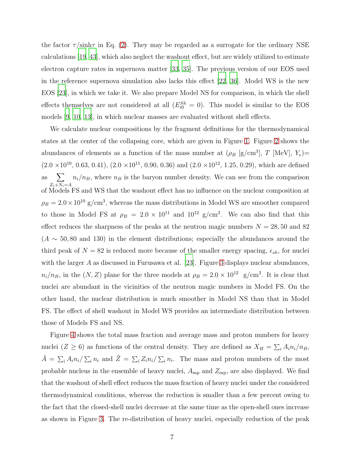the factor  $\tau/\sinh\tau$  in Eq. [\(2\)](#page-5-0). They may be regarded as a surrogate for the ordinary NSE calculations [\[19,](#page-14-14) [43](#page-16-0)], which also neglect the washout effect, but are widely utilized to estimate electron capture rates in supernova matter [\[33,](#page-15-8) [35\]](#page-15-10). The previous version of our EOS used in the reference supernova simulation also lacks this effect [\[22,](#page-14-15) [36](#page-15-11)]. Model WS is the new EOS [\[23\]](#page-15-0), in which we take it. We also prepare Model NS for comparison, in which the shell effects themselves are not considered at all  $(E_{i0}^{Sh} = 0)$ . This model is similar to the EOS models [\[9](#page-14-5), [10](#page-14-6), [13](#page-14-7)], in which nuclear masses are evaluated without shell effects.

We calculate nuclear compositions by the fragment definitions for the thermodynamical states at the center of the collapsing core, which are given in Figure [1.](#page-17-0) Figure [2](#page-18-0) shows the abundances of elements as a function of the mass number at  $(\rho_B \,[\text{g/cm}^3])$ , T [MeV],  $Y_e$ ]=  $(2.0 \times 10^{10}, 0.63, 0.41), (2.0 \times 10^{11}, 0.90, 0.36)$  and  $(2.0 \times 10^{12}, 1.25, 0.29)$ , which are defined as  $\sum$  $Z_i+N_i=$ A  $n_i/n_B$ , where  $n_B$  is the baryon number density. We can see from the comparison of Models FS and WS that the washout effect has no influence on the nuclear composition at  $\rho_B = 2.0 \times 10^{10}$  g/cm<sup>3</sup>, whereas the mass distributions in Model WS are smoother compared to those in Model FS at  $\rho_B = 2.0 \times 10^{11}$  and  $10^{12}$  g/cm<sup>3</sup>. We can also find that this effect reduces the sharpness of the peaks at the neutron magic numbers  $N = 28, 50$  and 82  $(A \sim 50, 80 \text{ and } 130)$  in the element distributions; especially the abundances around the third peak of  $N = 82$  is reduced more because of the smaller energy spacing,  $\epsilon_{sh}$ , for nuclei with the larger A as discussed in Furusawa et al. [\[23\]](#page-15-0). Figure [3](#page-19-0) displays nuclear abundances,  $n_i/n_B$ , in the  $(N, Z)$  plane for the three models at  $\rho_B = 2.0 \times 10^{12}$  g/cm<sup>3</sup>. It is clear that nuclei are abundant in the vicinities of the neutron magic numbers in Model FS. On the other hand, the nuclear distribution is much smoother in Model NS than that in Model FS. The effect of shell washout in Model WS provides an intermediate distribution between those of Models FS and NS.

Figure [4](#page-20-0) shows the total mass fraction and average mass and proton numbers for heavy nuclei  $(Z \ge 6)$  as functions of the central density. They are defined as  $X_H = \sum_i A_i n_i/n_B$ ,  $\bar{A} = \sum_i A_i n_i / \sum_i n_i$  and  $\bar{Z} = \sum_i Z_i n_i / \sum_i n_i$ . The mass and proton numbers of the most probable nucleus in the ensemble of heavy nuclei,  $A_{mp}$  and  $Z_{mp}$ , are also displayed. We find that the washout of shell effect reduces the mass fraction of heavy nuclei under the considered thermodynamical conditions, whereas the reduction is smaller than a few percent owing to the fact that the closed-shell nuclei decrease at the same time as the open-shell ones increase as shown in Figure [3.](#page-19-0) The re-distribution of heavy nuclei, especially reduction of the peak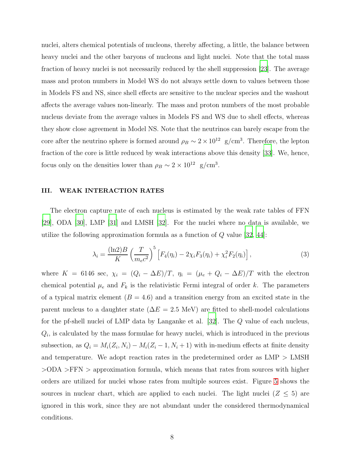nuclei, alters chemical potentials of nucleons, thereby affecting, a little, the balance between heavy nuclei and the other baryons of nucleons and light nuclei. Note that the total mass fraction of heavy nuclei is not necessarily reduced by the shell suppression [\[23](#page-15-0)]. The average mass and proton numbers in Model WS do not always settle down to values between those in Models FS and NS, since shell effects are sensitive to the nuclear species and the washout affects the average values non-linearly. The mass and proton numbers of the most probable nucleus deviate from the average values in Models FS and WS due to shell effects, whereas they show close agreement in Model NS. Note that the neutrinos can barely escape from the core after the neutrino sphere is formed around  $\rho_B \sim 2 \times 10^{12}$  g/cm<sup>3</sup>. Therefore, the lepton fraction of the core is little reduced by weak interactions above this density [\[33\]](#page-15-8). We, hence, focus only on the densities lower than  $\rho_B \sim 2 \times 10^{12}$  g/cm<sup>3</sup>.

# <span id="page-7-0"></span>III. WEAK INTERACTION RATES

The electron capture rate of each nucleus is estimated by the weak rate tables of FFN [\[29\]](#page-15-4), ODA [\[30\]](#page-15-5), LMP [\[31](#page-15-6)] and LMSH [\[32\]](#page-15-7). For the nuclei where no data is available, we utilize the following approximation formula as a function of  $Q$  value [\[32](#page-15-7), [44](#page-16-1)]:

<span id="page-7-1"></span>
$$
\lambda_i = \frac{(\ln 2)B}{K} \left(\frac{T}{m_e c^2}\right)^5 \left[F_4(\eta_i) - 2\chi_i F_3(\eta_i) + \chi_i^2 F_2(\eta_i)\right],\tag{3}
$$

where K = 6146 sec,  $\chi_i = (Q_i - \Delta E)/T$ ,  $\eta_i = (\mu_e + Q_i - \Delta E)/T$  with the electron chemical potential  $\mu_e$  and  $F_k$  is the relativistic Fermi integral of order k. The parameters of a typical matrix element  $(B = 4.6)$  and a transition energy from an excited state in the parent nucleus to a daughter state ( $\Delta E = 2.5$  MeV) are fitted to shell-model calculations for the pf-shell nuclei of LMP data by Langanke et al. [\[32](#page-15-7)]. The Q value of each nucleus,  $Q_i$ , is calculated by the mass formulae for heavy nuclei, which is introduced in the previous subsection, as  $Q_i = M_i(Z_i, N_i) - M_i(Z_i - 1, N_i + 1)$  with in-medium effects at finite density and temperature. We adopt reaction rates in the predetermined order as  $LMP > LMSH$ >ODA >FFN > approximation formula, which means that rates from sources with higher orders are utilized for nuclei whose rates from multiple sources exist. Figure [5](#page-21-0) shows the sources in nuclear chart, which are applied to each nuclei. The light nuclei ( $Z \leq 5$ ) are ignored in this work, since they are not abundant under the considered thermodynamical conditions.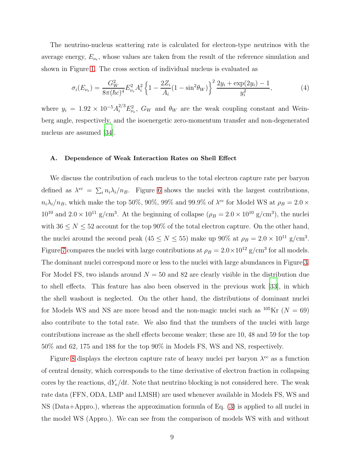The neutrino-nucleus scattering rate is calculated for electron-type neutrinos with the average energy,  $E_{\nu_e}$ , whose values are taken from the result of the reference simulation and shown in Figure [1.](#page-17-0) The cross section of individual nucleus is evaluated as

<span id="page-8-0"></span>
$$
\sigma_i(E_{\nu_e}) = \frac{G_W^2}{8\pi(\hbar c)^4} E_{\nu_e}^2 A_i^2 \left\{ 1 - \frac{2Z_i}{A_i} (1 - \sin^2 \theta_W) \right\}^2 \frac{2y_i + \exp(2y_i) - 1}{y_i^2},\tag{4}
$$

where  $y_i = 1.92 \times 10^{-5} A_i^{2/3} E_{\nu_e}^2$ ,  $G_W$  and  $\theta_W$  are the weak coupling constant and Weinberg angle, respectively, and the isoenergetic zero-momentum transfer and non-degenerated nucleus are assumed [\[34\]](#page-15-9).

## A. Dependence of Weak Interaction Rates on Shell Effect

We discuss the contribution of each nucleus to the total electron capture rate per baryon defined as  $\lambda^{ec} = \sum_i n_i \lambda_i / n_B$ . Figure [6](#page-22-0) shows the nuclei with the largest contributions,  $n_i\lambda_i/n_B$ , which make the top 50%, 90%, 99% and 99.9% of  $\lambda^{ec}$  for Model WS at  $\rho_B = 2.0 \times$  $10^{10}$  and  $2.0 \times 10^{11}$  g/cm<sup>3</sup>. At the beginning of collapse ( $\rho_B = 2.0 \times 10^{10}$  g/cm<sup>3</sup>), the nuclei with  $36 \le N \le 52$  account for the top 90% of the total electron capture. On the other hand, the nuclei around the second peak ( $45 \le N \le 55$ ) make up 90% at  $\rho_B = 2.0 \times 10^{11}$  g/cm<sup>3</sup>. Figure [7](#page-23-0) compares the nuclei with large contributions at  $\rho_B = 2.0 \times 10^{12}$  g/cm<sup>3</sup> for all models. The dominant nuclei correspond more or less to the nuclei with large abundances in Figure [3.](#page-19-0) For Model FS, two islands around  $N = 50$  and 82 are clearly visible in the distribution due to shell effects. This feature has also been observed in the previous work [\[33\]](#page-15-8), in which the shell washout is neglected. On the other hand, the distributions of dominant nuclei for Models WS and NS are more broad and the non-magic nuclei such as  $10^5$ Kr ( $N = 69$ ) also contribute to the total rate. We also find that the numbers of the nuclei with large contributions increase as the shell effects become weaker; these are 10, 48 and 59 for the top 50% and 62, 175 and 188 for the top 90% in Models FS, WS and NS, respectively.

Figure [8](#page-24-0) displays the electron capture rate of heavy nuclei per baryon  $\lambda^{ec}$  as a function of central density, which corresponds to the time derivative of electron fraction in collapsing cores by the reactions,  $dY_e/dt$ . Note that neutrino blocking is not considered here. The weak rate data (FFN, ODA, LMP and LMSH) are used whenever available in Models FS, WS and NS (Data+Appro.), whereas the approximation formula of Eq. [\(3\)](#page-7-1) is applied to all nuclei in the model WS (Appro.). We can see from the comparison of models WS with and without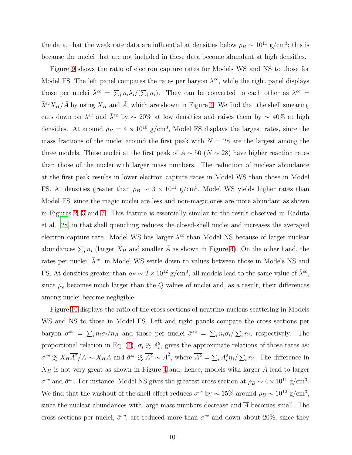the data, that the weak rate data are influential at densities below  $\rho_B \sim 10^{11}$  g/cm<sup>3</sup>; this is because the nuclei that are not included in these data become abundant at high densities.

Figure [9](#page-24-1) shows the ratio of electron capture rates for Models WS and NS to those for Model FS. The left panel compares the rates per baryon  $\lambda^{ec}$ , while the right panel displays those per nuclei  $\bar{\lambda}^{ec} = \sum_i n_i \lambda_i / (\sum_i n_i)$ . They can be converted to each other as  $\lambda^{ec} =$  $\bar{\lambda}^{ec} X_H / \bar{A}$  by using  $X_H$  and  $\bar{A}$ , which are shown in Figure [4.](#page-20-0) We find that the shell smearing cuts down on  $\lambda^{ec}$  and  $\bar{\lambda}^{ec}$  by  $\sim 20\%$  at low densities and raises them by  $\sim 40\%$  at high densities. At around  $\rho_B = 4 \times 10^{10}$  g/cm<sup>3</sup>, Model FS displays the largest rates, since the mass fractions of the nuclei around the first peak with  $N = 28$  are the largest among the three models. These nuclei at the first peak of  $A \sim 50$  ( $N \sim 28$ ) have higher reaction rates than those of the nuclei with larger mass numbers. The reduction of nuclear abundance at the first peak results in lower electron capture rates in Model WS than those in Model FS. At densities greater than  $\rho_B \sim 3 \times 10^{11}$  g/cm<sup>3</sup>, Model WS yields higher rates than Model FS, since the magic nuclei are less and non-magic ones are more abundant as shown in Figures [2,](#page-18-0) [3](#page-19-0) and [7.](#page-23-0) This feature is essentially similar to the result observed in Raduta et al. [\[28](#page-15-3)] in that shell quenching reduces the closed-shell nuclei and increases the averaged electron capture rate. Model WS has larger  $\lambda^{ec}$  than Model NS because of larger nuclear abundances  $\sum_i n_i$  (larger  $X_H$  and smaller  $\overline{A}$  as shown in Figure [4\)](#page-20-0). On the other hand, the rates per nuclei,  $\bar{\lambda}^{ec}$ , in Model WS settle down to values between those in Models NS and FS. At densities greater than  $\rho_B \sim 2 \times 10^{12}$  g/cm<sup>3</sup>, all models lead to the same value of  $\bar{\lambda}^{ec}$ , since  $\mu_e$  becomes much larger than the Q values of nuclei and, as a result, their differences among nuclei become negligible.

Figure [10](#page-25-0) displays the ratio of the cross sections of neutrino-nucleus scattering in Models WS and NS to those in Model FS. Left and right panels compare the cross sections per baryon  $\sigma^{sc} = \sum_i n_i \sigma_i / n_B$  and those per nuclei  $\bar{\sigma}^{sc} = \sum_i n_i \sigma_i / \sum_i n_i$ , respectively. The proportional relation in Eq. [\(4\)](#page-8-0),  $\sigma_i \propto A_i^2$ , gives the approximate relations of those rates as:  $\sigma^{sc} \propto X_H \overline{A^2}/\overline{A} \sim X_H \overline{A}$  and  $\bar{\sigma}^{sc} \propto \overline{A^2} \sim \overline{A}^2$ , where  $\overline{A^2} = \sum_i A_i^2 n_i / \sum_i n_i$ . The difference in  $X_H$  is not very great as shown in Figure [4](#page-20-0) and, hence, models with larger  $\overline{A}$  lead to larger  $\sigma^{sc}$  and  $\bar{\sigma}^{sc}$ . For instance, Model NS gives the greatest cross section at  $\rho_B \sim 4 \times 10^{11}$  g/cm<sup>3</sup>. We find that the washout of the shell effect reduces  $\sigma^{sc}$  by  $\sim 15\%$  around  $\rho_B \sim 10^{12}$  g/cm<sup>3</sup>, since the nuclear abundances with large mass numbers decrease and  $\overline{A}$  becomes small. The cross sections per nuclei,  $\bar{\sigma}^{sc}$ , are reduced more than  $\sigma^{sc}$  and down about 20%, since they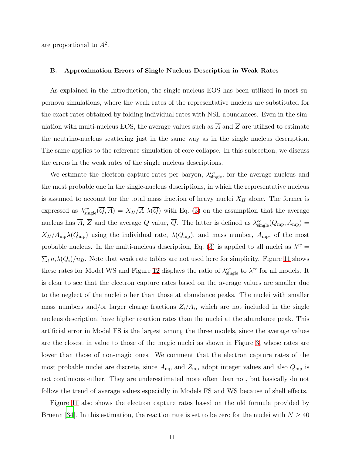are proportional to  $A^2$ .

#### B. Approximation Errors of Single Nucleus Description in Weak Rates

As explained in the Introduction, the single-nucleus EOS has been utilized in most supernova simulations, where the weak rates of the representative nucleus are substituted for the exact rates obtained by folding individual rates with NSE abundances. Even in the simulation with multi-nucleus EOS, the average values such as  $\overline{A}$  and  $\overline{Z}$  are utilized to estimate the neutrino-nucleus scattering just in the same way as in the single nucleus description. The same applies to the reference simulation of core collapse. In this subsection, we discuss the errors in the weak rates of the single nucleus descriptions.

We estimate the electron capture rates per baryon,  $\lambda_{\text{single}}^{ec}$ , for the average nucleus and the most probable one in the single-nucleus descriptions, in which the representative nucleus is assumed to account for the total mass fraction of heavy nuclei  $X_H$  alone. The former is expressed as  $\lambda_{\rm single}^{ec}(\overline{Q}, \overline{A}) = X_H/\overline{A} \lambda(\overline{Q})$  with Eq. [\(3\)](#page-7-1) on the assumption that the average nucleus has  $\overline{A}$ ,  $\overline{Z}$  and the average Q value,  $\overline{Q}$ . The latter is defined as  $\lambda_{\rm single}^{ec}(Q_{\rm mp}, A_{\rm mp}) =$  $X_H/A_{\rm mp}\lambda(Q_{\rm mp})$  using the individual rate,  $\lambda(Q_{\rm mp})$ , and mass number,  $A_{\rm mp}$ , of the most probable nucleus. In the multi-nucleus description, Eq. [\(3\)](#page-7-1) is applied to all nuclei as  $\lambda^{ec} =$  $\sum_i n_i \lambda(Q_i)/n_B$ . Note that weak rate tables are not used here for simplicity. Figure [11](#page-26-0) shows these rates for Model WS and Figure [12](#page-26-1) displays the ratio of  $\lambda_{\text{single}}^{ec}$  to  $\lambda^{ec}$  for all models. It is clear to see that the electron capture rates based on the average values are smaller due to the neglect of the nuclei other than those at abundance peaks. The nuclei with smaller mass numbers and/or larger charge fractions  $Z_i/A_i$ , which are not included in the single nucleus description, have higher reaction rates than the nuclei at the abundance peak. This artificial error in Model FS is the largest among the three models, since the average values are the closest in value to those of the magic nuclei as shown in Figure [3,](#page-19-0) whose rates are lower than those of non-magic ones. We comment that the electron capture rates of the most probable nuclei are discrete, since  $A_{mp}$  and  $Z_{mp}$  adopt integer values and also  $Q_{mp}$  is not continuous either. They are underestimated more often than not, but basically do not follow the trend of average values especially in Models FS and WS because of shell effects.

Figure [11](#page-26-0) also shows the electron capture rates based on the old formula provided by Bruenn [\[34\]](#page-15-9). In this estimation, the reaction rate is set to be zero for the nuclei with  $N \geq 40$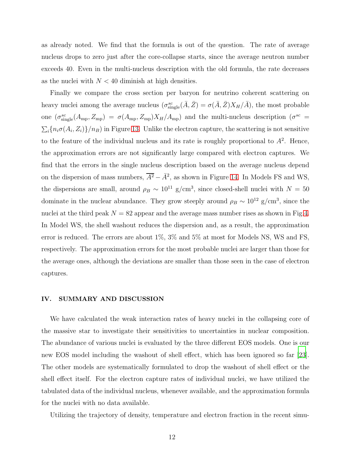as already noted. We find that the formula is out of the question. The rate of average nucleus drops to zero just after the core-collapse starts, since the average neutron number exceeds 40. Even in the multi-nucleus description with the old formula, the rate decreases as the nuclei with  $N < 40$  diminish at high densities.

Finally we compare the cross section per baryon for neutrino coherent scattering on heavy nuclei among the average nucleus  $(\sigma_{\text{single}}^{sc}(\bar{A}, \bar{Z}) = \sigma(\bar{A}, \bar{Z})X_H/\bar{A})$ , the most probable one  $(\sigma_{\rm single}^{sc}(A_{\rm mp}, Z_{\rm mp}) = \sigma(A_{\rm mp}, Z_{\rm mp})X_H/A_{\rm mp})$  and the multi-nucleus description  $(\sigma^{sc})$  $\sum_i \{n_i \sigma(A_i, Z_i)\}/n_B)$  in Figure [13.](#page-27-0) Unlike the electron capture, the scattering is not sensitive to the feature of the individual nucleus and its rate is roughly proportional to  $A^2$ . Hence, the approximation errors are not significantly large compared with electron captures. We find that the errors in the single nucleus description based on the average nucleus depend on the dispersion of mass numbers,  $\overline{A^2} - \overline{A}^2$ , as shown in Figure [14.](#page-27-1) In Models FS and WS, the dispersions are small, around  $\rho_B \sim 10^{11}$  g/cm<sup>3</sup>, since closed-shell nuclei with  $N = 50$ dominate in the nuclear abundance. They grow steeply around  $\rho_B \sim 10^{12}$  g/cm<sup>3</sup>, since the nuclei at the third peak  $N = 82$  appear and the average mass number rises as shown in Fig[.4.](#page-20-0) In Model WS, the shell washout reduces the dispersion and, as a result, the approximation error is reduced. The errors are about 1%, 3% and 5% at most for Models NS, WS and FS, respectively. The approximation errors for the most probable nuclei are larger than those for the average ones, although the deviations are smaller than those seen in the case of electron captures.

#### <span id="page-11-0"></span>IV. SUMMARY AND DISCUSSION

We have calculated the weak interaction rates of heavy nuclei in the collapsing core of the massive star to investigate their sensitivities to uncertainties in nuclear composition. The abundance of various nuclei is evaluated by the three different EOS models. One is our new EOS model including the washout of shell effect, which has been ignored so far [\[23\]](#page-15-0). The other models are systematically formulated to drop the washout of shell effect or the shell effect itself. For the electron capture rates of individual nuclei, we have utilized the tabulated data of the individual nucleus, whenever available, and the approximation formula for the nuclei with no data available.

Utilizing the trajectory of density, temperature and electron fraction in the recent simu-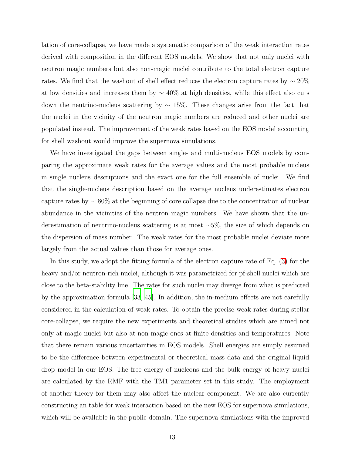lation of core-collapse, we have made a systematic comparison of the weak interaction rates derived with composition in the different EOS models. We show that not only nuclei with neutron magic numbers but also non-magic nuclei contribute to the total electron capture rates. We find that the washout of shell effect reduces the electron capture rates by  $\sim 20\%$ at low densities and increases them by  $\sim 40\%$  at high densities, while this effect also cuts down the neutrino-nucleus scattering by  $\sim 15\%$ . These changes arise from the fact that the nuclei in the vicinity of the neutron magic numbers are reduced and other nuclei are populated instead. The improvement of the weak rates based on the EOS model accounting for shell washout would improve the supernova simulations.

We have investigated the gaps between single- and multi-nucleus EOS models by comparing the approximate weak rates for the average values and the most probable nucleus in single nucleus descriptions and the exact one for the full ensemble of nuclei. We find that the single-nucleus description based on the average nucleus underestimates electron capture rates by ∼ 80% at the beginning of core collapse due to the concentration of nuclear abundance in the vicinities of the neutron magic numbers. We have shown that the underestimation of neutrino-nucleus scattering is at most ∼5%, the size of which depends on the dispersion of mass number. The weak rates for the most probable nuclei deviate more largely from the actual values than those for average ones.

In this study, we adopt the fitting formula of the electron capture rate of Eq. [\(3\)](#page-7-1) for the heavy and/or neutron-rich nuclei, although it was parametrized for pf-shell nuclei which are close to the beta-stability line. The rates for such nuclei may diverge from what is predicted by the approximation formula [\[33,](#page-15-8) [45\]](#page-16-2). In addition, the in-medium effects are not carefully considered in the calculation of weak rates. To obtain the precise weak rates during stellar core-collapse, we require the new experiments and theoretical studies which are aimed not only at magic nuclei but also at non-magic ones at finite densities and temperatures. Note that there remain various uncertainties in EOS models. Shell energies are simply assumed to be the difference between experimental or theoretical mass data and the original liquid drop model in our EOS. The free energy of nucleons and the bulk energy of heavy nuclei are calculated by the RMF with the TM1 parameter set in this study. The employment of another theory for them may also affect the nuclear component. We are also currently constructing an table for weak interaction based on the new EOS for supernova simulations, which will be available in the public domain. The supernova simulations with the improved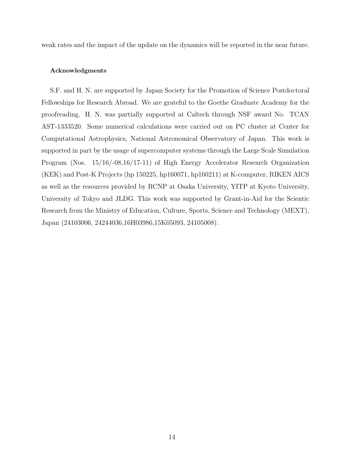weak rates and the impact of the update on the dynamics will be reported in the near future.

## Acknowledgments

S.F. and H. N. are supported by Japan Society for the Promotion of Science Postdoctoral Fellowships for Research Abroad. We are grateful to the Goethe Graduate Academy for the proofreading. H. N. was partially supported at Caltech through NSF award No. TCAN AST-1333520. Some numerical calculations were carried out on PC cluster at Center for Computational Astrophysics, National Astronomical Observatory of Japan. This work is supported in part by the usage of supercomputer systems through the Large Scale Simulation Program (Nos. 15/16/-08,16/17-11) of High Energy Accelerator Research Organization (KEK) and Post-K Projects (hp 150225, hp160071, hp160211) at K-computer, RIKEN AICS as well as the resources provided by RCNP at Osaka University, YITP at Kyoto University, University of Tokyo and JLDG. This work was supported by Grant-in-Aid for the Scientic Research from the Ministry of Education, Culture, Sports, Science and Technology (MEXT), Japan (24103006, 24244036,16H03986,15K05093, 24105008).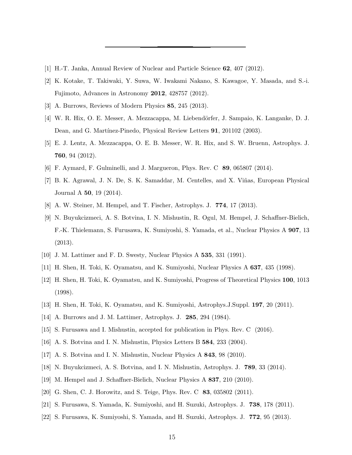- <span id="page-14-0"></span>[1] H.-T. Janka, Annual Review of Nuclear and Particle Science 62, 407 (2012).
- [2] K. Kotake, T. Takiwaki, Y. Suwa, W. Iwakami Nakano, S. Kawagoe, Y. Masada, and S.-i. Fujimoto, Advances in Astronomy 2012, 428757 (2012).
- <span id="page-14-2"></span><span id="page-14-1"></span>[3] A. Burrows, Reviews of Modern Physics 85, 245 (2013).
- [4] W. R. Hix, O. E. Messer, A. Mezzacappa, M. Liebend¨orfer, J. Sampaio, K. Langanke, D. J. Dean, and G. Martínez-Pinedo, Physical Review Letters 91, 201102 (2003).
- <span id="page-14-3"></span>[5] E. J. Lentz, A. Mezzacappa, O. E. B. Messer, W. R. Hix, and S. W. Bruenn, Astrophys. J. 760, 94 (2012).
- <span id="page-14-4"></span>[6] F. Aymard, F. Gulminelli, and J. Margueron, Phys. Rev. C 89, 065807 (2014).
- [7] B. K. Agrawal, J. N. De, S. K. Samaddar, M. Centelles, and X. Vi˜nas, European Physical Journal A 50, 19 (2014).
- [8] A. W. Steiner, M. Hempel, and T. Fischer, Astrophys. J. 774, 17 (2013).
- <span id="page-14-5"></span>[9] N. Buyukcizmeci, A. S. Botvina, I. N. Mishustin, R. Ogul, M. Hempel, J. Schaffner-Bielich, F.-K. Thielemann, S. Furusawa, K. Sumiyoshi, S. Yamada, et al., Nuclear Physics A 907, 13 (2013).
- <span id="page-14-6"></span>[10] J. M. Lattimer and F. D. Swesty, Nuclear Physics A 535, 331 (1991).
- [11] H. Shen, H. Toki, K. Oyamatsu, and K. Sumiyoshi, Nuclear Physics A 637, 435 (1998).
- [12] H. Shen, H. Toki, K. Oyamatsu, and K. Sumiyoshi, Progress of Theoretical Physics 100, 1013 (1998).
- <span id="page-14-7"></span>[13] H. Shen, H. Toki, K. Oyamatsu, and K. Sumiyoshi, Astrophys.J.Suppl. 197, 20 (2011).
- <span id="page-14-8"></span>[14] A. Burrows and J. M. Lattimer, Astrophys. J. 285, 294 (1984).
- <span id="page-14-9"></span>[15] S. Furusawa and I. Mishustin, accepted for publication in Phys. Rev. C (2016).
- <span id="page-14-10"></span>[16] A. S. Botvina and I. N. Mishustin, Physics Letters B 584, 233 (2004).
- [17] A. S. Botvina and I. N. Mishustin, Nuclear Physics A 843, 98 (2010).
- <span id="page-14-13"></span>[18] N. Buyukcizmeci, A. S. Botvina, and I. N. Mishustin, Astrophys. J. 789, 33 (2014).
- <span id="page-14-14"></span>[19] M. Hempel and J. Schaffner-Bielich, Nuclear Physics A 837, 210 (2010).
- <span id="page-14-11"></span>[20] G. Shen, C. J. Horowitz, and S. Teige, Phys. Rev. C 83, 035802 (2011).
- <span id="page-14-12"></span>[21] S. Furusawa, S. Yamada, K. Sumiyoshi, and H. Suzuki, Astrophys. J. 738, 178 (2011).
- <span id="page-14-15"></span>[22] S. Furusawa, K. Sumiyoshi, S. Yamada, and H. Suzuki, Astrophys. J. 772, 95 (2013).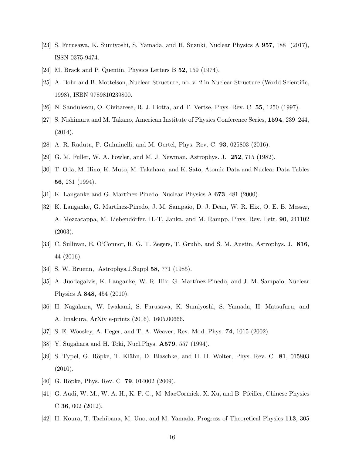- <span id="page-15-0"></span>[23] S. Furusawa, K. Sumiyoshi, S. Yamada, and H. Suzuki, Nuclear Physics A 957, 188 (2017), ISSN 0375-9474.
- <span id="page-15-18"></span><span id="page-15-1"></span>[24] M. Brack and P. Quentin, Physics Letters B 52, 159 (1974).
- [25] A. Bohr and B. Mottelson, Nuclear Structure, no. v. 2 in Nuclear Structure (World Scientific, 1998), ISBN 9789810239800.
- <span id="page-15-2"></span>[26] N. Sandulescu, O. Civitarese, R. J. Liotta, and T. Vertse, Phys. Rev. C 55, 1250 (1997).
- [27] S. Nishimura and M. Takano, American Institute of Physics Conference Series, 1594, 239–244, (2014).
- <span id="page-15-4"></span><span id="page-15-3"></span>[28] A. R. Raduta, F. Gulminelli, and M. Oertel, Phys. Rev. C 93, 025803 (2016).
- <span id="page-15-5"></span>[29] G. M. Fuller, W. A. Fowler, and M. J. Newman, Astrophys. J. 252, 715 (1982).
- [30] T. Oda, M. Hino, K. Muto, M. Takahara, and K. Sato, Atomic Data and Nuclear Data Tables 56, 231 (1994).
- <span id="page-15-7"></span><span id="page-15-6"></span>[31] K. Langanke and G. Martínez-Pinedo, Nuclear Physics  $A \, 673$ , 481 (2000).
- [32] K. Langanke, G. Martínez-Pinedo, J. M. Sampaio, D. J. Dean, W. R. Hix, O. E. B. Messer, A. Mezzacappa, M. Liebendörfer, H.-T. Janka, and M. Rampp, Phys. Rev. Lett. 90, 241102 (2003).
- <span id="page-15-8"></span>[33] C. Sullivan, E. O'Connor, R. G. T. Zegers, T. Grubb, and S. M. Austin, Astrophys. J. 816, 44 (2016).
- <span id="page-15-9"></span>[34] S. W. Bruenn, Astrophys. J. Suppl **58**, 771 (1985).
- <span id="page-15-10"></span>[35] A. Juodagalvis, K. Langanke, W. R. Hix, G. Martínez-Pinedo, and J. M. Sampaio, Nuclear Physics A 848, 454 (2010).
- <span id="page-15-11"></span>[36] H. Nagakura, W. Iwakami, S. Furusawa, K. Sumiyoshi, S. Yamada, H. Matsufuru, and A. Imakura, ArXiv e-prints (2016), 1605.00666.
- <span id="page-15-13"></span><span id="page-15-12"></span>[37] S. E. Woosley, A. Heger, and T. A. Weaver, Rev. Mod. Phys. 74, 1015 (2002).
- [38] Y. Sugahara and H. Toki, Nucl.Phys. A579, 557 (1994).
- <span id="page-15-14"></span>[39] S. Typel, G. Röpke, T. Klähn, D. Blaschke, and H. H. Wolter, Phys. Rev. C 81, 015803 (2010).
- <span id="page-15-15"></span>[40] G. Röpke, Phys. Rev. C **79**, 014002 (2009).
- <span id="page-15-16"></span>[41] G. Audi, W. M., W. A. H., K. F. G., M. MacCormick, X. Xu, and B. Pfeiffer, Chinese Physics C 36, 002 (2012).
- <span id="page-15-17"></span>[42] H. Koura, T. Tachibana, M. Uno, and M. Yamada, Progress of Theoretical Physics 113, 305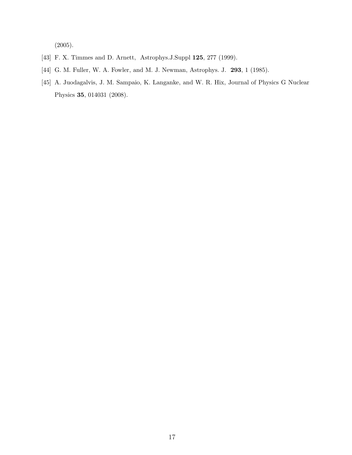(2005).

- <span id="page-16-0"></span>[43] F. X. Timmes and D. Arnett, Astrophys.J.Suppl **125**, 277 (1999).
- <span id="page-16-1"></span>[44] G. M. Fuller, W. A. Fowler, and M. J. Newman, Astrophys. J. 293, 1 (1985).
- <span id="page-16-2"></span>[45] A. Juodagalvis, J. M. Sampaio, K. Langanke, and W. R. Hix, Journal of Physics G Nuclear Physics 35, 014031 (2008).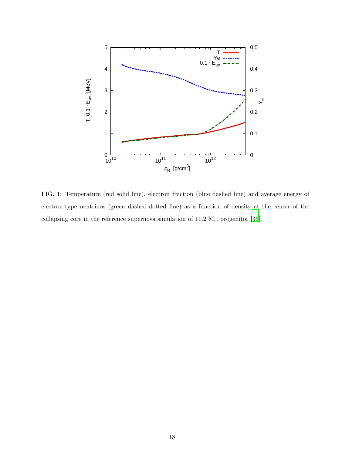

<span id="page-17-0"></span>FIG. 1: Temperature (red solid line), electron fraction (blue dashed line) and average energy of electron-type neutrinos (green dashed-dotted line) as a function of density at the center of the collapsing core in the reference supernova simulation of 11.2  ${\rm M}_{\odot}$  progenitor [\[36](#page-15-11)].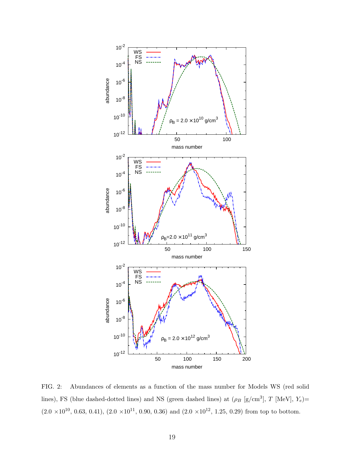

<span id="page-18-0"></span>FIG. 2: Abundances of elements as a function of the mass number for Models WS (red solid lines), FS (blue dashed-dotted lines) and NS (green dashed lines) at  $(\rho_B \text{ [g/cm}^3], T \text{ [MeV]}, Y_e)$ =  $(2.0 \times 10^{10}, 0.63, 0.41), (2.0 \times 10^{11}, 0.90, 0.36)$  and  $(2.0 \times 10^{12}, 1.25, 0.29)$  from top to bottom.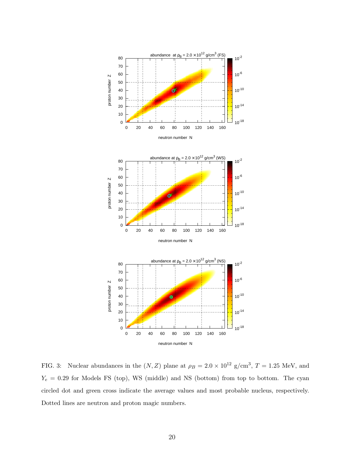

<span id="page-19-0"></span>FIG. 3: Nuclear abundances in the  $(N, Z)$  plane at  $\rho_B = 2.0 \times 10^{12}$  g/cm<sup>3</sup>, T = 1.25 MeV, and  $Y_e = 0.29$  for Models FS (top), WS (middle) and NS (bottom) from top to bottom. The cyan circled dot and green cross indicate the average values and most probable nucleus, respectively. Dotted lines are neutron and proton magic numbers.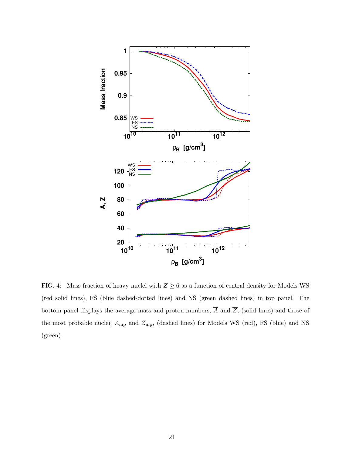

<span id="page-20-0"></span>FIG. 4: Mass fraction of heavy nuclei with  $Z \geq 6$  as a function of central density for Models WS (red solid lines), FS (blue dashed-dotted lines) and NS (green dashed lines) in top panel. The bottom panel displays the average mass and proton numbers,  $\overline{A}$  and  $\overline{Z}$ , (solid lines) and those of the most probable nuclei,  $A_{\text{mp}}$  and  $Z_{\text{mp}}$ , (dashed lines) for Models WS (red), FS (blue) and NS (green).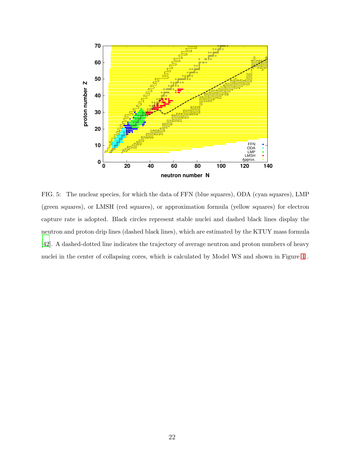

<span id="page-21-0"></span>FIG. 5: The nuclear species, for which the data of FFN (blue squares), ODA (cyan squares), LMP (green squares), or LMSH (red squares), or approximation formula (yellow squares) for electron capture rate is adopted. Black circles represent stable nuclei and dashed black lines display the neutron and proton drip lines (dashed black lines), which are estimated by the KTUY mass formula [\[42\]](#page-15-17). A dashed-dotted line indicates the trajectory of average neutron and proton numbers of heavy nuclei in the center of collapsing cores, which is calculated by Model WS and shown in Figure [4](#page-20-0) .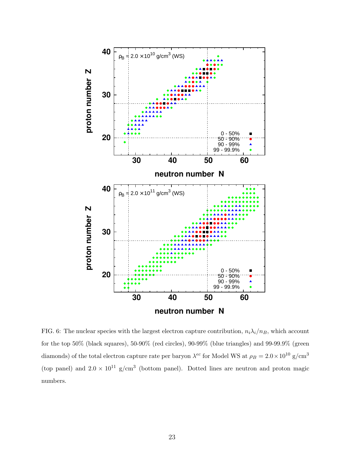

<span id="page-22-0"></span>FIG. 6: The nuclear species with the largest electron capture contribution,  $n_i\lambda_i/n_B$ , which account for the top 50% (black squares), 50-90% (red circles), 90-99% (blue triangles) and 99-99.9% (green diamonds) of the total electron capture rate per baryon  $\lambda^{ec}$  for Model WS at  $\rho_B = 2.0 \times 10^{10}$  g/cm<sup>3</sup> (top panel) and  $2.0 \times 10^{11}$  g/cm<sup>3</sup> (bottom panel). Dotted lines are neutron and proton magic numbers.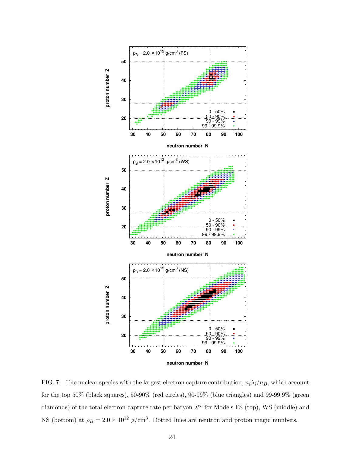

<span id="page-23-0"></span>FIG. 7: The nuclear species with the largest electron capture contribution,  $n_i \lambda_i/n_B$ , which account for the top 50% (black squares), 50-90% (red circles), 90-99% (blue triangles) and 99-99.9% (green diamonds) of the total electron capture rate per baryon  $\lambda^{ec}$  for Models FS (top), WS (middle) and NS (bottom) at  $\rho_B = 2.0 \times 10^{12}$  g/cm<sup>3</sup>. Dotted lines are neutron and proton magic numbers.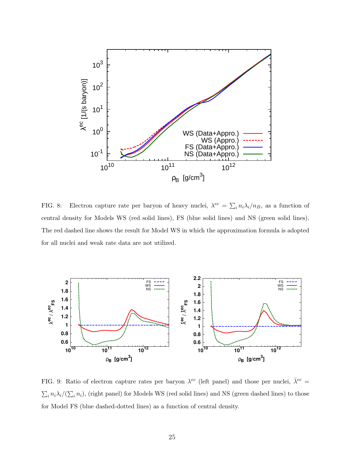

<span id="page-24-0"></span>FIG. 8: Electron capture rate per baryon of heavy nuclei,  $\lambda^{ec} = \sum_i n_i \lambda_i / n_B$ , as a function of central density for Models WS (red solid lines), FS (blue solid lines) and NS (green solid lines). The red dashed line shows the result for Model WS in which the approximation formula is adopted for all nuclei and weak rate data are not utilized.



<span id="page-24-1"></span>FIG. 9: Ratio of electron capture rates per baryon  $\lambda^{ec}$  (left panel) and those per nuclei,  $\bar{\lambda}^{ec}$  =  $\sum_i n_i \lambda_i/(\sum_i n_i)$ , (right panel) for Models WS (red solid lines) and NS (green dashed lines) to those for Model FS (blue dashed-dotted lines) as a function of central density.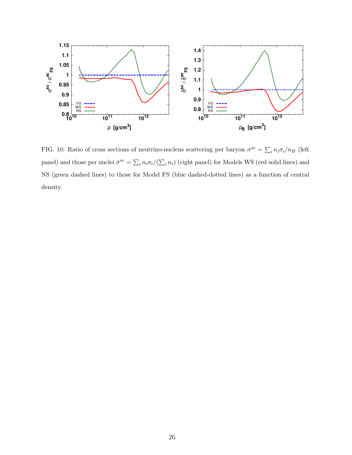

<span id="page-25-0"></span>FIG. 10: Ratio of cross sections of neutrino-nucleus scattering per baryon  $\sigma^{sc} = \sum_i n_i \sigma_i / n_B$  (left panel) and those per nuclei  $\bar{\sigma}^{sc} = \sum_i n_i \sigma_i/(\sum_i n_i)$  (right panel) for Models WS (red solid lines) and NS (green dashed lines) to those for Model FS (blue dashed-dotted lines) as a function of central density.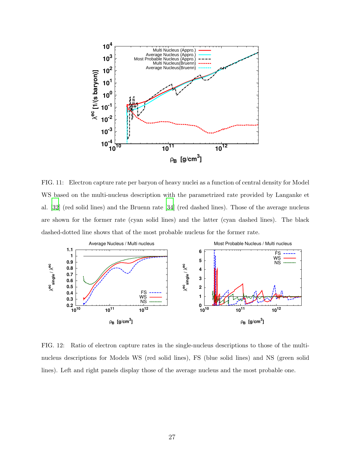

<span id="page-26-0"></span>FIG. 11: Electron capture rate per baryon of heavy nuclei as a function of central density for Model WS based on the multi-nucleus description with the parametrized rate provided by Langanke et al. [\[32](#page-15-7)] (red solid lines) and the Bruenn rate [\[34](#page-15-9)] (red dashed lines). Those of the average nucleus are shown for the former rate (cyan solid lines) and the latter (cyan dashed lines). The black dashed-dotted line shows that of the most probable nucleus for the former rate.



<span id="page-26-1"></span>FIG. 12: Ratio of electron capture rates in the single-nucleus descriptions to those of the multinucleus descriptions for Models WS (red solid lines), FS (blue solid lines) and NS (green solid lines). Left and right panels display those of the average nucleus and the most probable one.